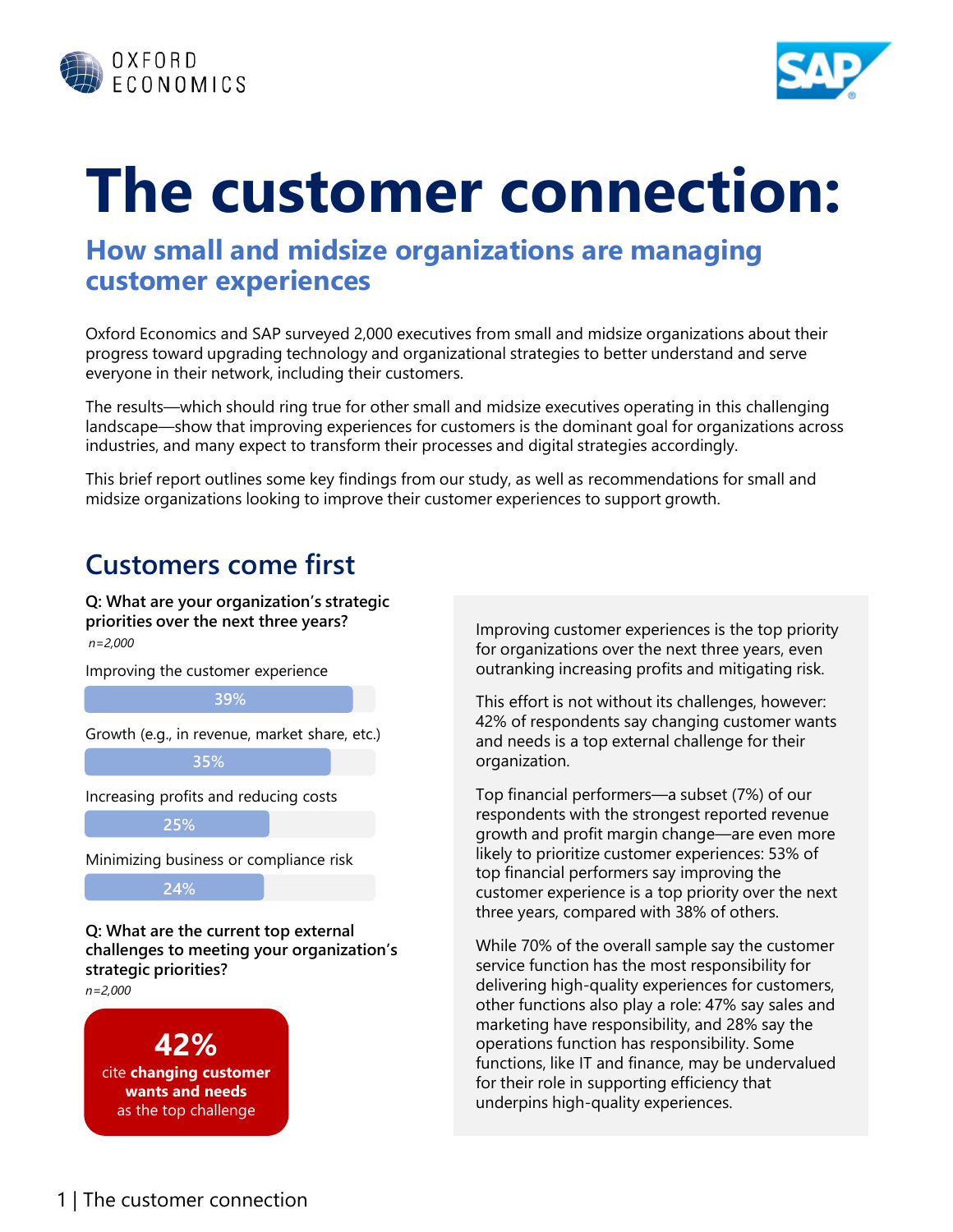



# **The customer connection:**

#### **How small and midsize organizations are managing customer experiences**

Oxford Economics and SAP surveyed 2,000 executives from small and midsize organizations about their progress toward upgrading technology and organizational strategies to better understand and serve everyone in their network, including their customers.

The results—which should ring true for other small and midsize executives operating in this challenging landscape—show that improving experiences for customers is the dominant goal for organizations across industries, and many expect to transform their processes and digital strategies accordingly.

This brief report outlines some key findings from our study, as well as recommendations for small and midsize organizations looking to improve their customer experiences to support growth.

# **Customers come first**

**Q: What are your organization's strategic priorities over the next three years?** Improving customer experiences is the top priority *n=2,000*



for organizations over the next three years, even outranking increasing profits and mitigating risk.

This effort is not without its challenges, however: 42% of respondents say changing customer wants and needs is a top external challenge for their organization.

Top financial performers—a subset (7%) of our respondents with the strongest reported revenue growth and profit margin change—are even more likely to prioritize customer experiences: 53% of top financial performers say improving the customer experience is a top priority over the next three years, compared with 38% of others.

While 70% of the overall sample say the customer service function has the most responsibility for delivering high-quality experiences for customers, other functions also play a role: 47% say sales and marketing have responsibility, and 28% say the operations function has responsibility. Some functions, like IT and finance, may be undervalued for their role in supporting efficiency that underpins high-quality experiences.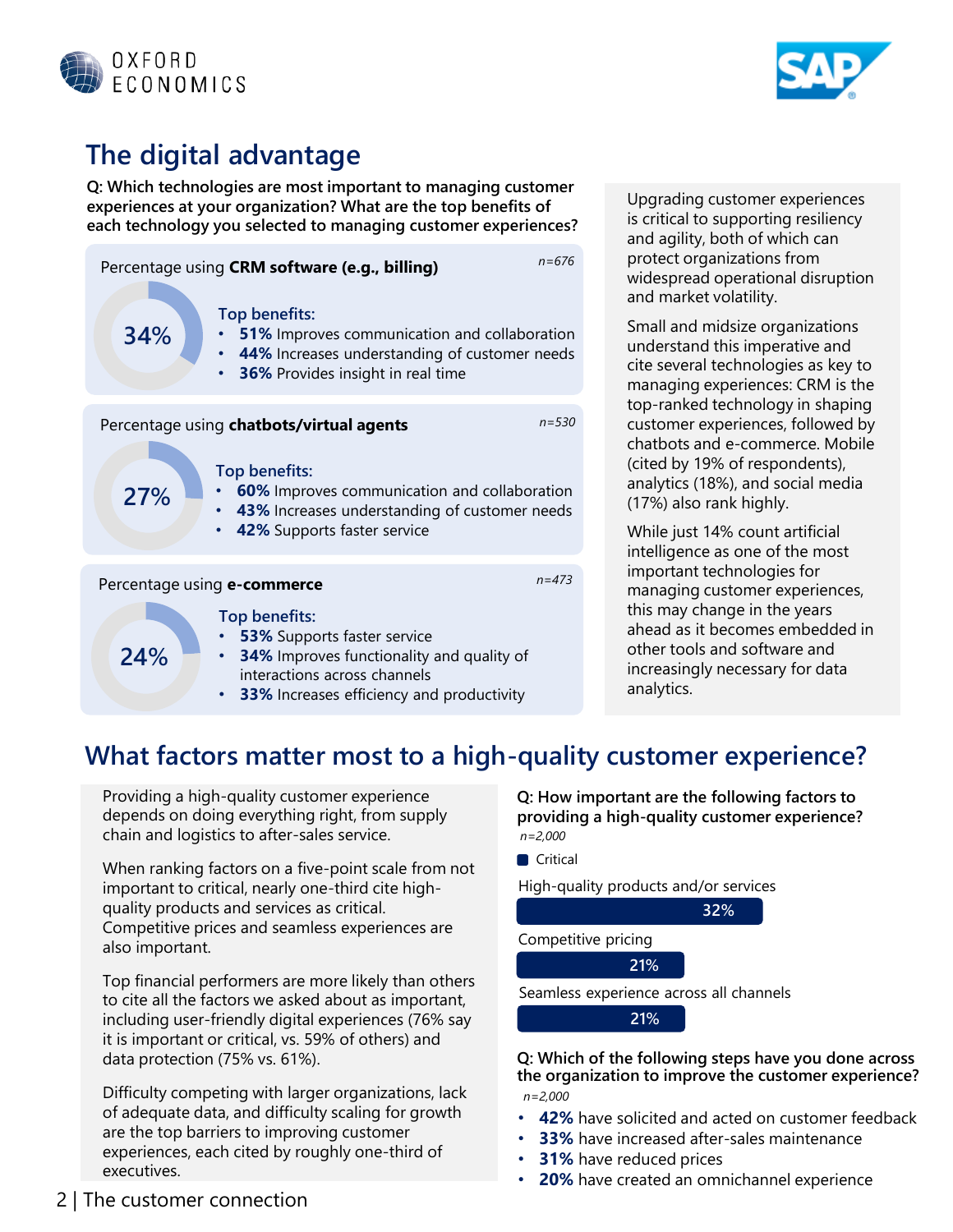



# **The digital advantage**

**Q: Which technologies are most important to managing customer experiences at your organization? What are the top benefits of each technology you selected to managing customer experiences?**



Upgrading customer experiences is critical to supporting resiliency and agility, both of which can protect organizations from widespread operational disruption and market volatility.

Small and midsize organizations understand this imperative and cite several technologies as key to managing experiences: CRM is the top-ranked technology in shaping customer experiences, followed by chatbots and e-commerce. Mobile (cited by 19% of respondents), analytics (18%), and social media (17%) also rank highly.

While just 14% count artificial intelligence as one of the most important technologies for managing customer experiences, this may change in the years ahead as it becomes embedded in other tools and software and increasingly necessary for data analytics.

#### **What factors matter most to a high-quality customer experience?**

Providing a high-quality customer experience depends on doing everything right, from supply chain and logistics to after-sales service.

When ranking factors on a five-point scale from not important to critical, nearly one-third cite highquality products and services as critical. Competitive prices and seamless experiences are also important.

Top financial performers are more likely than others to cite all the factors we asked about as important, including user-friendly digital experiences (76% say it is important or critical, vs. 59% of others) and data protection (75% vs. 61%).

Difficulty competing with larger organizations, lack of adequate data, and difficulty scaling for growth are the top barriers to improving customer experiences, each cited by roughly one-third of executives.

**Q: How important are the following factors to providing a high-quality customer experience?** *n=2,000*



**21%**

**Q: Which of the following steps have you done across the organization to improve the customer experience?** *n=2,000*

- **42%** have solicited and acted on customer feedback
- **33%** have increased after-sales maintenance
- **31%** have reduced prices
- **20%** have created an omnichannel experience